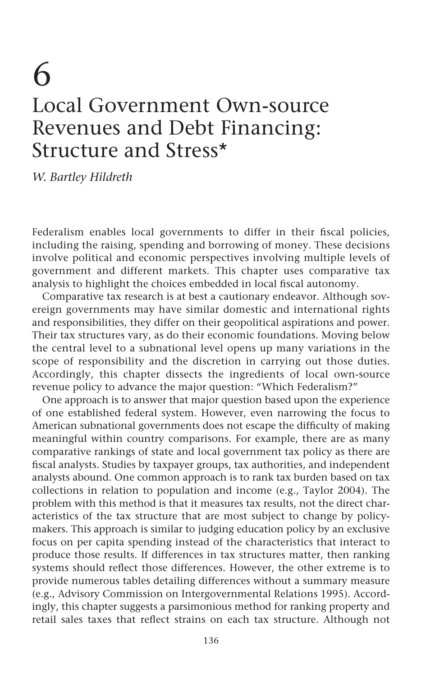## 6 Local Government Own-source Revenues and Debt Financing: Structure and Stress\*

*W. Bartley Hildreth*

Federalism enables local governments to differ in their fiscal policies, including the raising, spending and borrowing of money. These decisions involve political and economic perspectives involving multiple levels of government and different markets. This chapter uses comparative tax analysis to highlight the choices embedded in local fiscal autonomy.

Comparative tax research is at best a cautionary endeavor. Although sovereign governments may have similar domestic and international rights and responsibilities, they differ on their geopolitical aspirations and power. Their tax structures vary, as do their economic foundations. Moving below the central level to a subnational level opens up many variations in the scope of responsibility and the discretion in carrying out those duties. Accordingly, this chapter dissects the ingredients of local own-source revenue policy to advance the major question: "Which Federalism?"

One approach is to answer that major question based upon the experience of one established federal system. However, even narrowing the focus to American subnational governments does not escape the difficulty of making meaningful within country comparisons. For example, there are as many comparative rankings of state and local government tax policy as there are fiscal analysts. Studies by taxpayer groups, tax authorities, and independent analysts abound. One common approach is to rank tax burden based on tax collections in relation to population and income (e.g., Taylor 2004). The problem with this method is that it measures tax results, not the direct characteristics of the tax structure that are most subject to change by policymakers. This approach is similar to judging education policy by an exclusive focus on per capita spending instead of the characteristics that interact to produce those results. If differences in tax structures matter, then ranking systems should reflect those differences. However, the other extreme is to provide numerous tables detailing differences without a summary measure (e.g., Advisory Commission on Intergovernmental Relations 1995). Accordingly, this chapter suggests a parsimonious method for ranking property and retail sales taxes that reflect strains on each tax structure. Although not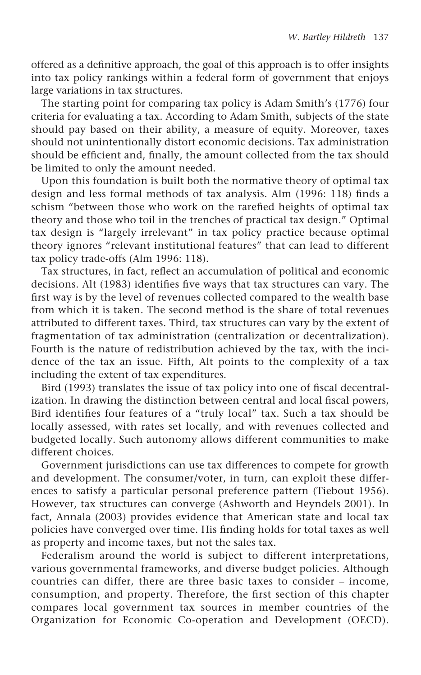offered as a definitive approach, the goal of this approach is to offer insights into tax policy rankings within a federal form of government that enjoys large variations in tax structures.

The starting point for comparing tax policy is Adam Smith's (1776) four criteria for evaluating a tax. According to Adam Smith, subjects of the state should pay based on their ability, a measure of equity. Moreover, taxes should not unintentionally distort economic decisions. Tax administration should be efficient and, finally, the amount collected from the tax should be limited to only the amount needed.

Upon this foundation is built both the normative theory of optimal tax design and less formal methods of tax analysis. Alm (1996: 118) finds a schism "between those who work on the rarefied heights of optimal tax theory and those who toil in the trenches of practical tax design." Optimal tax design is "largely irrelevant" in tax policy practice because optimal theory ignores "relevant institutional features" that can lead to different tax policy trade-offs (Alm 1996: 118).

Tax structures, in fact, reflect an accumulation of political and economic decisions. Alt (1983) identifies five ways that tax structures can vary. The first way is by the level of revenues collected compared to the wealth base from which it is taken. The second method is the share of total revenues attributed to different taxes. Third, tax structures can vary by the extent of fragmentation of tax administration (centralization or decentralization). Fourth is the nature of redistribution achieved by the tax, with the incidence of the tax an issue. Fifth, Alt points to the complexity of a tax including the extent of tax expenditures.

Bird (1993) translates the issue of tax policy into one of fiscal decentralization. In drawing the distinction between central and local fiscal powers, Bird identifies four features of a "truly local" tax. Such a tax should be locally assessed, with rates set locally, and with revenues collected and budgeted locally. Such autonomy allows different communities to make different choices.

Government jurisdictions can use tax differences to compete for growth and development. The consumer/voter, in turn, can exploit these differences to satisfy a particular personal preference pattern (Tiebout 1956). However, tax structures can converge (Ashworth and Heyndels 2001). In fact, Annala (2003) provides evidence that American state and local tax policies have converged over time. His finding holds for total taxes as well as property and income taxes, but not the sales tax.

Federalism around the world is subject to different interpretations, various governmental frameworks, and diverse budget policies. Although countries can differ, there are three basic taxes to consider – income, consumption, and property. Therefore, the first section of this chapter compares local government tax sources in member countries of the Organization for Economic Co-operation and Development (OECD).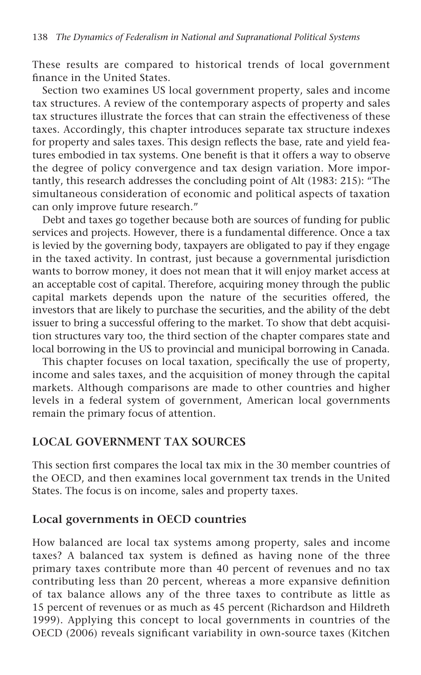These results are compared to historical trends of local government finance in the United States.

Section two examines US local government property, sales and income tax structures. A review of the contemporary aspects of property and sales tax structures illustrate the forces that can strain the effectiveness of these taxes. Accordingly, this chapter introduces separate tax structure indexes for property and sales taxes. This design reflects the base, rate and yield features embodied in tax systems. One benefit is that it offers a way to observe the degree of policy convergence and tax design variation. More importantly, this research addresses the concluding point of Alt (1983: 215): "The simultaneous consideration of economic and political aspects of taxation can only improve future research."

Debt and taxes go together because both are sources of funding for public services and projects. However, there is a fundamental difference. Once a tax is levied by the governing body, taxpayers are obligated to pay if they engage in the taxed activity. In contrast, just because a governmental jurisdiction wants to borrow money, it does not mean that it will enjoy market access at an acceptable cost of capital. Therefore, acquiring money through the public capital markets depends upon the nature of the securities offered, the investors that are likely to purchase the securities, and the ability of the debt issuer to bring a successful offering to the market. To show that debt acquisition structures vary too, the third section of the chapter compares state and local borrowing in the US to provincial and municipal borrowing in Canada.

This chapter focuses on local taxation, specifically the use of property, income and sales taxes, and the acquisition of money through the capital markets. Although comparisons are made to other countries and higher levels in a federal system of government, American local governments remain the primary focus of attention.

## **LOCAL GOVERNMENT TAX SOURCES**

This section first compares the local tax mix in the 30 member countries of the OECD, and then examines local government tax trends in the United States. The focus is on income, sales and property taxes.

## **Local governments in OECD countries**

How balanced are local tax systems among property, sales and income taxes? A balanced tax system is defined as having none of the three primary taxes contribute more than 40 percent of revenues and no tax contributing less than 20 percent, whereas a more expansive definition of tax balance allows any of the three taxes to contribute as little as 15 percent of revenues or as much as 45 percent (Richardson and Hildreth 1999). Applying this concept to local governments in countries of the OECD (2006) reveals significant variability in own-source taxes (Kitchen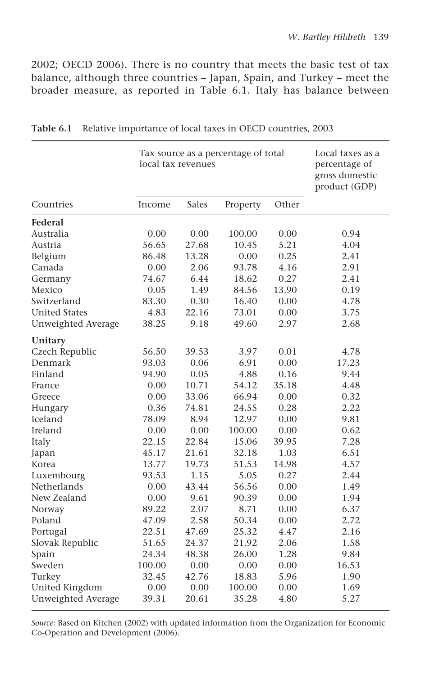2002; OECD 2006). There is no country that meets the basic test of tax balance, although three countries – Japan, Spain, and Turkey – meet the broader measure, as reported in Table 6.1. Italy has balance between

|                      | Tax source as a percentage of total | Local taxes as a<br>percentage of<br>gross domestic<br>product (GDP) |          |       |       |
|----------------------|-------------------------------------|----------------------------------------------------------------------|----------|-------|-------|
| Countries            | Income                              | Sales                                                                | Property | Other |       |
| Federal              |                                     |                                                                      |          |       |       |
| Australia            | 0.00                                | 0.00                                                                 | 100.00   | 0.00  | 0.94  |
| Austria              | 56.65                               | 27.68                                                                | 10.45    | 5.21  | 4.04  |
| Belgium              | 86.48                               | 13.28                                                                | 0.00     | 0.25  | 2.41  |
| Canada               | 0.00                                | 2.06                                                                 | 93.78    | 4.16  | 2.91  |
| Germany              | 74.67                               | 6.44                                                                 | 18.62    | 0.27  | 2.41  |
| Mexico               | 0.05                                | 1.49                                                                 | 84.56    | 13.90 | 0.19  |
| Switzerland          | 83.30                               | 0.30                                                                 | 16.40    | 0.00  | 4.78  |
| <b>United States</b> | 4.83                                | 22.16                                                                | 73.01    | 0.00  | 3.75  |
| Unweighted Average   | 38.25                               | 9.18                                                                 | 49.60    | 2.97  | 2.68  |
| Unitary              |                                     |                                                                      |          |       |       |
| Czech Republic       | 56.50                               | 39.53                                                                | 3.97     | 0.01  | 4.78  |
| Denmark              | 93.03                               | 0.06                                                                 | 6.91     | 0.00  | 17.23 |
| Finland              | 94.90                               | 0.05                                                                 | 4.88     | 0.16  | 9.44  |
| France               | 0.00                                | 10.71                                                                | 54.12    | 35.18 | 4.48  |
| Greece               | 0.00                                | 33.06                                                                | 66.94    | 0.00  | 0.32  |
| Hungary              | 0.36                                | 74.81                                                                | 24.55    | 0.28  | 2.22  |
| Iceland              | 78.09                               | 8.94                                                                 | 12.97    | 0.00  | 9.81  |
| Ireland              | 0.00                                | 0.00                                                                 | 100.00   | 0.00  | 0.62  |
| Italy                | 22.15                               | 22.84                                                                | 15.06    | 39.95 | 7.28  |
| Japan                | 45.17                               | 21.61                                                                | 32.18    | 1.03  | 6.51  |
| Korea                | 13.77                               | 19.73                                                                | 51.53    | 14.98 | 4.57  |
| Luxembourg           | 93.53                               | 1.15                                                                 | 5.05     | 0.27  | 2.44  |
| Netherlands          | 0.00                                | 43.44                                                                | 56.56    | 0.00  | 1.49  |
| New Zealand          | 0.00                                | 9.61                                                                 | 90.39    | 0.00  | 1.94  |
| Norway               | 89.22                               | 2.07                                                                 | 8.71     | 0.00  | 6.37  |
| Poland               | 47.09                               | 2.58                                                                 | 50.34    | 0.00  | 2.72  |
| Portugal             | 22.51                               | 47.69                                                                | 25.32    | 4.47  | 2.16  |
| Slovak Republic      | 51.65                               | 24.37                                                                | 21.92    | 2.06  | 1.58  |
| Spain                | 24.34                               | 48.38                                                                | 26.00    | 1.28  | 9.84  |
| Sweden               | 100.00                              | 0.00                                                                 | 0.00     | 0.00  | 16.53 |
| Turkey               | 32.45                               | 42.76                                                                | 18.83    | 5.96  | 1.90  |
| United Kingdom       | 0.00                                | 0.00                                                                 | 100.00   | 0.00  | 1.69  |
| Unweighted Average   | 39.31                               | 20.61                                                                | 35.28    | 4.80  | 5.27  |

**Table 6.1** Relative importance of local taxes in OECD countries, 2003

*Source*: Based on Kitchen (2002) with updated information from the Organization for Economic Co-Operation and Development (2006).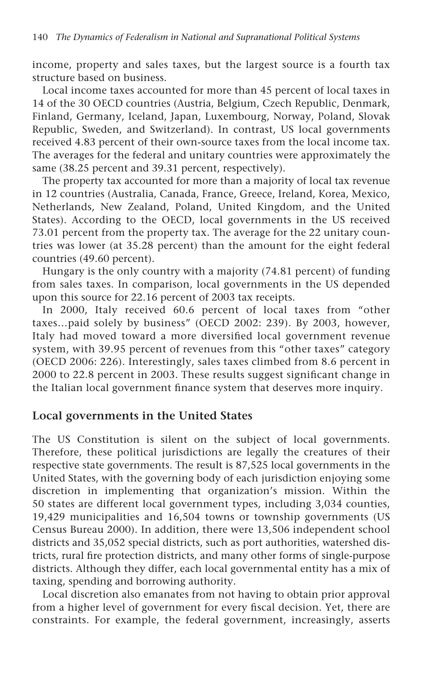income, property and sales taxes, but the largest source is a fourth tax structure based on business.

Local income taxes accounted for more than 45 percent of local taxes in 14 of the 30 OECD countries (Austria, Belgium, Czech Republic, Denmark, Finland, Germany, Iceland, Japan, Luxembourg, Norway, Poland, Slovak Republic, Sweden, and Switzerland). In contrast, US local governments received 4.83 percent of their own-source taxes from the local income tax. The averages for the federal and unitary countries were approximately the same (38.25 percent and 39.31 percent, respectively).

The property tax accounted for more than a majority of local tax revenue in 12 countries (Australia, Canada, France, Greece, Ireland, Korea, Mexico, Netherlands, New Zealand, Poland, United Kingdom, and the United States). According to the OECD, local governments in the US received 73.01 percent from the property tax. The average for the 22 unitary countries was lower (at 35.28 percent) than the amount for the eight federal countries (49.60 percent).

Hungary is the only country with a majority (74.81 percent) of funding from sales taxes. In comparison, local governments in the US depended upon this source for 22.16 percent of 2003 tax receipts.

In 2000, Italy received 60.6 percent of local taxes from "other taxes…paid solely by business" (OECD 2002: 239). By 2003, however, Italy had moved toward a more diversified local government revenue system, with 39.95 percent of revenues from this "other taxes" category (OECD 2006: 226). Interestingly, sales taxes climbed from 8.6 percent in 2000 to 22.8 percent in 2003. These results suggest significant change in the Italian local government finance system that deserves more inquiry.

## **Local governments in the United States**

The US Constitution is silent on the subject of local governments. Therefore, these political jurisdictions are legally the creatures of their respective state governments. The result is 87,525 local governments in the United States, with the governing body of each jurisdiction enjoying some discretion in implementing that organization's mission. Within the 50 states are different local government types, including 3,034 counties, 19,429 municipalities and 16,504 towns or township governments (US Census Bureau 2000). In addition, there were 13,506 independent school districts and 35,052 special districts, such as port authorities, watershed districts, rural fire protection districts, and many other forms of single-purpose districts. Although they differ, each local governmental entity has a mix of taxing, spending and borrowing authority.

Local discretion also emanates from not having to obtain prior approval from a higher level of government for every fiscal decision. Yet, there are constraints. For example, the federal government, increasingly, asserts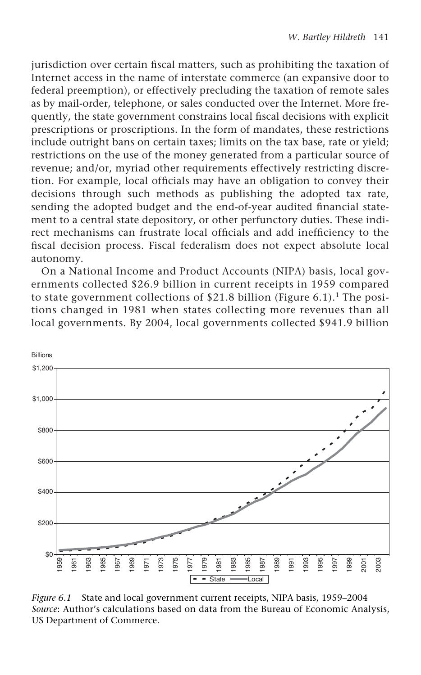jurisdiction over certain fiscal matters, such as prohibiting the taxation of Internet access in the name of interstate commerce (an expansive door to federal preemption), or effectively precluding the taxation of remote sales as by mail-order, telephone, or sales conducted over the Internet. More frequently, the state government constrains local fiscal decisions with explicit prescriptions or proscriptions. In the form of mandates, these restrictions include outright bans on certain taxes; limits on the tax base, rate or yield; restrictions on the use of the money generated from a particular source of revenue; and/or, myriad other requirements effectively restricting discretion. For example, local officials may have an obligation to convey their decisions through such methods as publishing the adopted tax rate, sending the adopted budget and the end-of-year audited financial statement to a central state depository, or other perfunctory duties. These indirect mechanisms can frustrate local officials and add inefficiency to the fiscal decision process. Fiscal federalism does not expect absolute local autonomy.

On a National Income and Product Accounts (NIPA) basis, local governments collected \$26.9 billion in current receipts in 1959 compared to state government collections of  $$21.8$  billion (Figure 6.1).<sup>1</sup> The positions changed in 1981 when states collecting more revenues than all local governments. By 2004, local governments collected \$941.9 billion



*Figure 6.1* State and local government current receipts, NIPA basis, 1959–2004 *Source*: Author's calculations based on data from the Bureau of Economic Analysis, US Department of Commerce.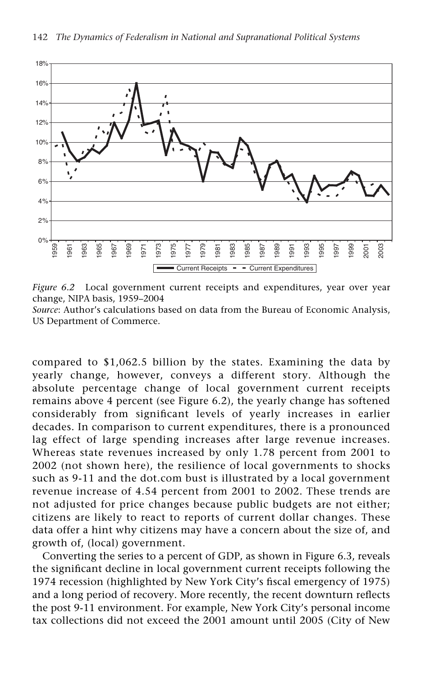

*Figure 6.2* Local government current receipts and expenditures, year over year change, NIPA basis, 1959–2004 *Source*: Author's calculations based on data from the Bureau of Economic Analysis,

US Department of Commerce.

compared to \$1,062.5 billion by the states. Examining the data by yearly change, however, conveys a different story. Although the absolute percentage change of local government current receipts remains above 4 percent (see Figure 6.2), the yearly change has softened considerably from significant levels of yearly increases in earlier decades. In comparison to current expenditures, there is a pronounced lag effect of large spending increases after large revenue increases. Whereas state revenues increased by only 1.78 percent from 2001 to 2002 (not shown here), the resilience of local governments to shocks such as 9-11 and the dot.com bust is illustrated by a local government revenue increase of 4.54 percent from 2001 to 2002. These trends are not adjusted for price changes because public budgets are not either; citizens are likely to react to reports of current dollar changes. These data offer a hint why citizens may have a concern about the size of, and growth of, (local) government.

Converting the series to a percent of GDP, as shown in Figure 6.3, reveals the significant decline in local government current receipts following the 1974 recession (highlighted by New York City's fiscal emergency of 1975) and a long period of recovery. More recently, the recent downturn reflects the post 9-11 environment. For example, New York City's personal income tax collections did not exceed the 2001 amount until 2005 (City of New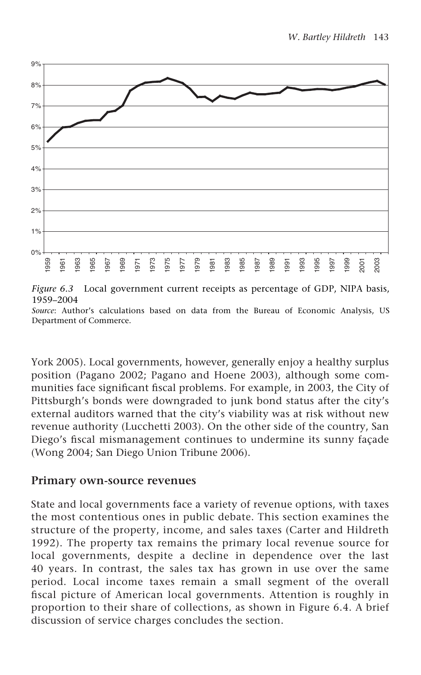

*Figure 6.3* Local government current receipts as percentage of GDP, NIPA basis, 1959–2004

*Source*: Author's calculations based on data from the Bureau of Economic Analysis, US Department of Commerce.

York 2005). Local governments, however, generally enjoy a healthy surplus position (Pagano 2002; Pagano and Hoene 2003), although some communities face significant fiscal problems. For example, in 2003, the City of Pittsburgh's bonds were downgraded to junk bond status after the city's external auditors warned that the city's viability was at risk without new revenue authority (Lucchetti 2003). On the other side of the country, San Diego's fiscal mismanagement continues to undermine its sunny façade (Wong 2004; San Diego Union Tribune 2006).

#### **Primary own-source revenues**

State and local governments face a variety of revenue options, with taxes the most contentious ones in public debate. This section examines the structure of the property, income, and sales taxes (Carter and Hildreth 1992). The property tax remains the primary local revenue source for local governments, despite a decline in dependence over the last 40 years. In contrast, the sales tax has grown in use over the same period. Local income taxes remain a small segment of the overall fiscal picture of American local governments. Attention is roughly in proportion to their share of collections, as shown in Figure 6.4. A brief discussion of service charges concludes the section.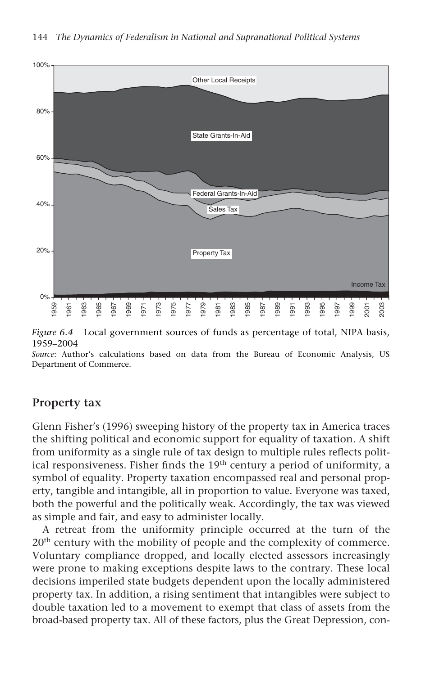

*Figure 6.4* Local government sources of funds as percentage of total, NIPA basis, 1959–2004

*Source*: Author's calculations based on data from the Bureau of Economic Analysis, US Department of Commerce.

#### **Property tax**

Glenn Fisher's (1996) sweeping history of the property tax in America traces the shifting political and economic support for equality of taxation. A shift from uniformity as a single rule of tax design to multiple rules reflects political responsiveness. Fisher finds the 19<sup>th</sup> century a period of uniformity, a symbol of equality. Property taxation encompassed real and personal property, tangible and intangible, all in proportion to value. Everyone was taxed, both the powerful and the politically weak. Accordingly, the tax was viewed as simple and fair, and easy to administer locally.

A retreat from the uniformity principle occurred at the turn of the 20<sup>th</sup> century with the mobility of people and the complexity of commerce. Voluntary compliance dropped, and locally elected assessors increasingly were prone to making exceptions despite laws to the contrary. These local decisions imperiled state budgets dependent upon the locally administered property tax. In addition, a rising sentiment that intangibles were subject to double taxation led to a movement to exempt that class of assets from the broad-based property tax. All of these factors, plus the Great Depression, con-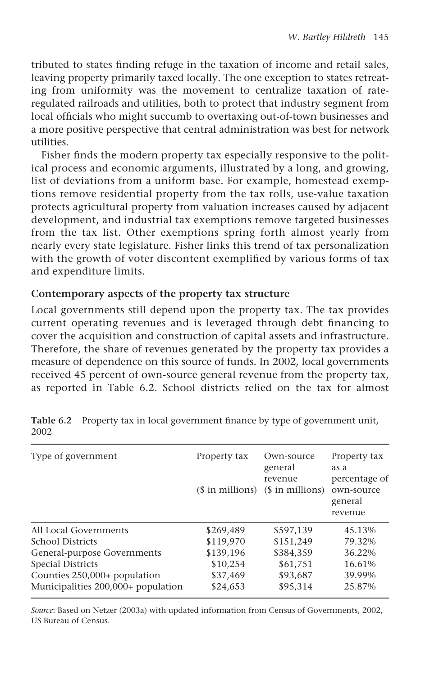tributed to states finding refuge in the taxation of income and retail sales, leaving property primarily taxed locally. The one exception to states retreating from uniformity was the movement to centralize taxation of rateregulated railroads and utilities, both to protect that industry segment from local officials who might succumb to overtaxing out-of-town businesses and a more positive perspective that central administration was best for network utilities.

Fisher finds the modern property tax especially responsive to the political process and economic arguments, illustrated by a long, and growing, list of deviations from a uniform base. For example, homestead exemptions remove residential property from the tax rolls, use-value taxation protects agricultural property from valuation increases caused by adjacent development, and industrial tax exemptions remove targeted businesses from the tax list. Other exemptions spring forth almost yearly from nearly every state legislature. Fisher links this trend of tax personalization with the growth of voter discontent exemplified by various forms of tax and expenditure limits.

### **Contemporary aspects of the property tax structure**

Local governments still depend upon the property tax. The tax provides current operating revenues and is leveraged through debt financing to cover the acquisition and construction of capital assets and infrastructure. Therefore, the share of revenues generated by the property tax provides a measure of dependence on this source of funds. In 2002, local governments received 45 percent of own-source general revenue from the property tax, as reported in Table 6.2. School districts relied on the tax for almost

| Type of government                 | Property tax     | Own-source<br>general<br>revenue | Property tax<br>as a<br>percentage of |  |
|------------------------------------|------------------|----------------------------------|---------------------------------------|--|
|                                    | (\$ in millions) | (\$ in millions)                 | own-source<br>general<br>revenue      |  |
| All Local Governments              | \$269,489        | \$597,139                        | 45.13%                                |  |
| <b>School Districts</b>            | \$119,970        | \$151,249                        | 79.32%                                |  |
| General-purpose Governments        | \$139,196        | \$384,359                        | 36.22\%                               |  |
| Special Districts                  | \$10,254         | \$61,751                         | 16.61%                                |  |
| Counties 250,000+ population       | \$37,469         | \$93,687                         | 39.99%                                |  |
| Municipalities 200,000+ population | \$24,653         | \$95,314                         | 25.87%                                |  |

**Table 6.2** Property tax in local government finance by type of government unit, 2002

*Source*: Based on Netzer (2003a) with updated information from Census of Governments, 2002, US Bureau of Census.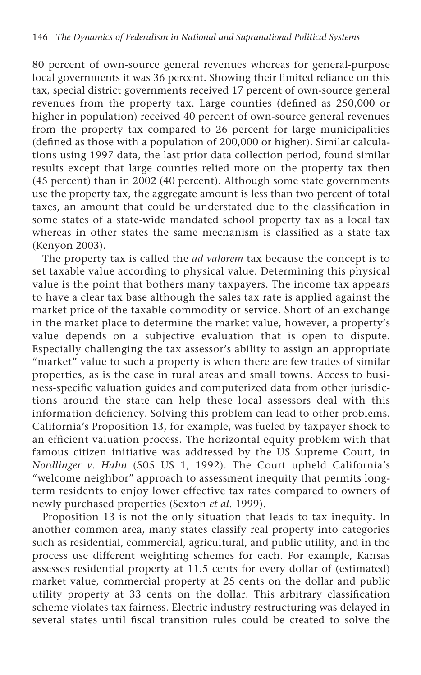80 percent of own-source general revenues whereas for general-purpose local governments it was 36 percent. Showing their limited reliance on this tax, special district governments received 17 percent of own-source general revenues from the property tax. Large counties (defined as 250,000 or higher in population) received 40 percent of own-source general revenues from the property tax compared to 26 percent for large municipalities (defined as those with a population of 200,000 or higher). Similar calculations using 1997 data, the last prior data collection period, found similar results except that large counties relied more on the property tax then (45 percent) than in 2002 (40 percent). Although some state governments use the property tax, the aggregate amount is less than two percent of total taxes, an amount that could be understated due to the classification in some states of a state-wide mandated school property tax as a local tax whereas in other states the same mechanism is classified as a state tax (Kenyon 2003).

The property tax is called the *ad valorem* tax because the concept is to set taxable value according to physical value. Determining this physical value is the point that bothers many taxpayers. The income tax appears to have a clear tax base although the sales tax rate is applied against the market price of the taxable commodity or service. Short of an exchange in the market place to determine the market value, however, a property's value depends on a subjective evaluation that is open to dispute. Especially challenging the tax assessor's ability to assign an appropriate "market" value to such a property is when there are few trades of similar properties, as is the case in rural areas and small towns. Access to business-specific valuation guides and computerized data from other jurisdictions around the state can help these local assessors deal with this information deficiency. Solving this problem can lead to other problems. California's Proposition 13, for example, was fueled by taxpayer shock to an efficient valuation process. The horizontal equity problem with that famous citizen initiative was addressed by the US Supreme Court, in *Nordlinger v. Hahn* (505 US 1, 1992). The Court upheld California's "welcome neighbor" approach to assessment inequity that permits longterm residents to enjoy lower effective tax rates compared to owners of newly purchased properties (Sexton *et al*. 1999).

Proposition 13 is not the only situation that leads to tax inequity. In another common area, many states classify real property into categories such as residential, commercial, agricultural, and public utility, and in the process use different weighting schemes for each. For example, Kansas assesses residential property at 11.5 cents for every dollar of (estimated) market value, commercial property at 25 cents on the dollar and public utility property at 33 cents on the dollar. This arbitrary classification scheme violates tax fairness. Electric industry restructuring was delayed in several states until fiscal transition rules could be created to solve the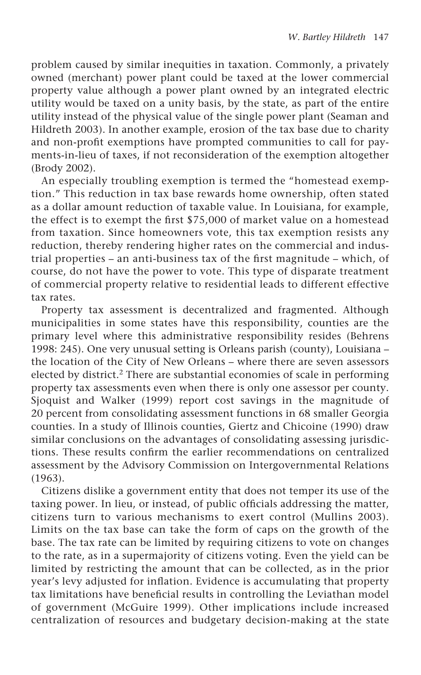problem caused by similar inequities in taxation. Commonly, a privately owned (merchant) power plant could be taxed at the lower commercial property value although a power plant owned by an integrated electric utility would be taxed on a unity basis, by the state, as part of the entire utility instead of the physical value of the single power plant (Seaman and Hildreth 2003). In another example, erosion of the tax base due to charity and non-profit exemptions have prompted communities to call for payments-in-lieu of taxes, if not reconsideration of the exemption altogether (Brody 2002).

An especially troubling exemption is termed the "homestead exemption." This reduction in tax base rewards home ownership, often stated as a dollar amount reduction of taxable value. In Louisiana, for example, the effect is to exempt the first \$75,000 of market value on a homestead from taxation. Since homeowners vote, this tax exemption resists any reduction, thereby rendering higher rates on the commercial and industrial properties – an anti-business tax of the first magnitude – which, of course, do not have the power to vote. This type of disparate treatment of commercial property relative to residential leads to different effective tax rates.

Property tax assessment is decentralized and fragmented. Although municipalities in some states have this responsibility, counties are the primary level where this administrative responsibility resides (Behrens 1998: 245). One very unusual setting is Orleans parish (county), Louisiana – the location of the City of New Orleans – where there are seven assessors elected by district.<sup>2</sup> There are substantial economies of scale in performing property tax assessments even when there is only one assessor per county. Sjoquist and Walker (1999) report cost savings in the magnitude of 20 percent from consolidating assessment functions in 68 smaller Georgia counties. In a study of Illinois counties, Giertz and Chicoine (1990) draw similar conclusions on the advantages of consolidating assessing jurisdictions. These results confirm the earlier recommendations on centralized assessment by the Advisory Commission on Intergovernmental Relations (1963).

Citizens dislike a government entity that does not temper its use of the taxing power. In lieu, or instead, of public officials addressing the matter, citizens turn to various mechanisms to exert control (Mullins 2003). Limits on the tax base can take the form of caps on the growth of the base. The tax rate can be limited by requiring citizens to vote on changes to the rate, as in a supermajority of citizens voting. Even the yield can be limited by restricting the amount that can be collected, as in the prior year's levy adjusted for inflation. Evidence is accumulating that property tax limitations have beneficial results in controlling the Leviathan model of government (McGuire 1999). Other implications include increased centralization of resources and budgetary decision-making at the state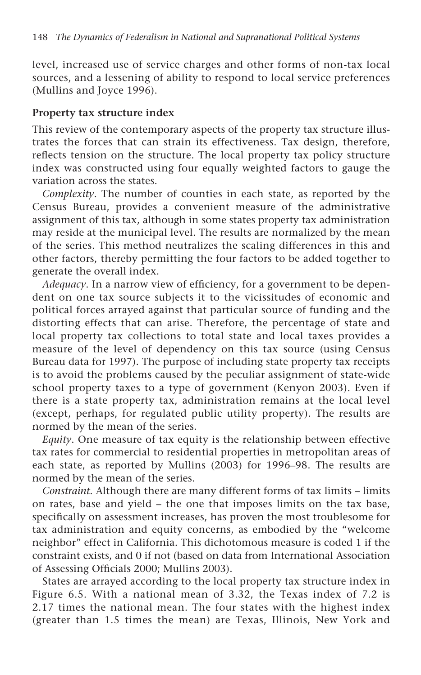level, increased use of service charges and other forms of non-tax local sources, and a lessening of ability to respond to local service preferences (Mullins and Joyce 1996).

#### **Property tax structure index**

This review of the contemporary aspects of the property tax structure illustrates the forces that can strain its effectiveness. Tax design, therefore, reflects tension on the structure. The local property tax policy structure index was constructed using four equally weighted factors to gauge the variation across the states.

*Complexity*. The number of counties in each state, as reported by the Census Bureau, provides a convenient measure of the administrative assignment of this tax, although in some states property tax administration may reside at the municipal level. The results are normalized by the mean of the series. This method neutralizes the scaling differences in this and other factors, thereby permitting the four factors to be added together to generate the overall index.

*Adequacy*. In a narrow view of efficiency, for a government to be dependent on one tax source subjects it to the vicissitudes of economic and political forces arrayed against that particular source of funding and the distorting effects that can arise. Therefore, the percentage of state and local property tax collections to total state and local taxes provides a measure of the level of dependency on this tax source (using Census Bureau data for 1997). The purpose of including state property tax receipts is to avoid the problems caused by the peculiar assignment of state-wide school property taxes to a type of government (Kenyon 2003). Even if there is a state property tax, administration remains at the local level (except, perhaps, for regulated public utility property). The results are normed by the mean of the series.

*Equity*. One measure of tax equity is the relationship between effective tax rates for commercial to residential properties in metropolitan areas of each state, as reported by Mullins (2003) for 1996–98. The results are normed by the mean of the series.

*Constraint*. Although there are many different forms of tax limits – limits on rates, base and yield – the one that imposes limits on the tax base, specifically on assessment increases, has proven the most troublesome for tax administration and equity concerns, as embodied by the "welcome neighbor" effect in California. This dichotomous measure is coded 1 if the constraint exists, and 0 if not (based on data from International Association of Assessing Officials 2000; Mullins 2003).

States are arrayed according to the local property tax structure index in Figure 6.5. With a national mean of 3.32, the Texas index of 7.2 is 2.17 times the national mean. The four states with the highest index (greater than 1.5 times the mean) are Texas, Illinois, New York and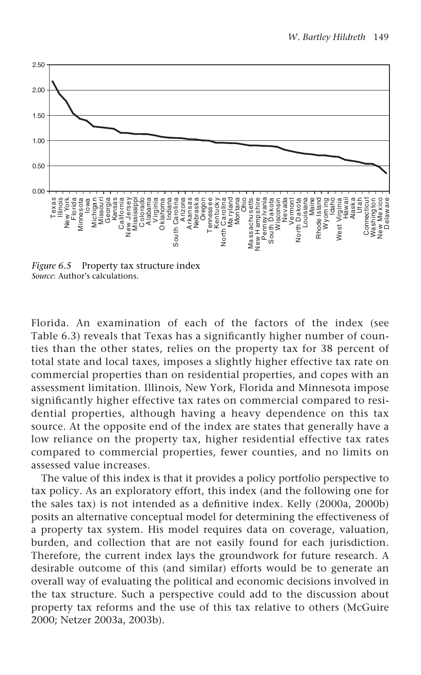

*Figure 6.5* Property tax structure index *Source*: Author's calculations.

Florida. An examination of each of the factors of the index (see Table 6.3) reveals that Texas has a significantly higher number of counties than the other states, relies on the property tax for 38 percent of total state and local taxes, imposes a slightly higher effective tax rate on commercial properties than on residential properties, and copes with an assessment limitation. Illinois, New York, Florida and Minnesota impose significantly higher effective tax rates on commercial compared to residential properties, although having a heavy dependence on this tax source. At the opposite end of the index are states that generally have a low reliance on the property tax, higher residential effective tax rates compared to commercial properties, fewer counties, and no limits on assessed value increases.

The value of this index is that it provides a policy portfolio perspective to tax policy. As an exploratory effort, this index (and the following one for the sales tax) is not intended as a definitive index. Kelly (2000a, 2000b) posits an alternative conceptual model for determining the effectiveness of a property tax system. His model requires data on coverage, valuation, burden, and collection that are not easily found for each jurisdiction. Therefore, the current index lays the groundwork for future research. A desirable outcome of this (and similar) efforts would be to generate an overall way of evaluating the political and economic decisions involved in the tax structure. Such a perspective could add to the discussion about property tax reforms and the use of this tax relative to others (McGuire 2000; Netzer 2003a, 2003b).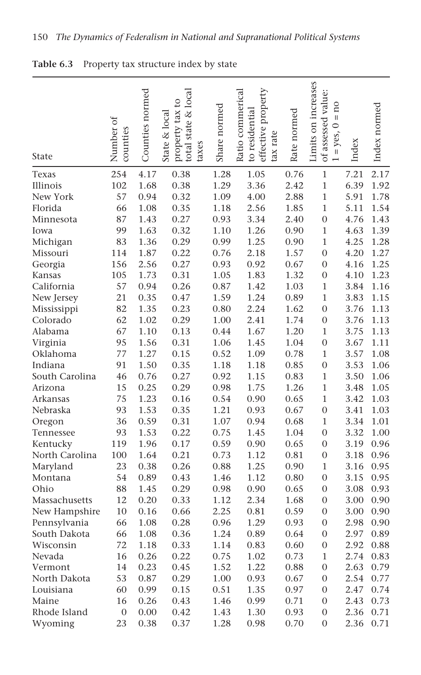| State          | Number of<br>counties | Counties normed | total state & local<br>property tax to<br>State & local<br>taxes | Share normed | effective property<br>Ratio commerical<br>to residential<br>tax rate | Rate normed | Limits on increases<br>of assessed value:<br>$= yes, 0 = no$ | Index | Index normed |
|----------------|-----------------------|-----------------|------------------------------------------------------------------|--------------|----------------------------------------------------------------------|-------------|--------------------------------------------------------------|-------|--------------|
| Texas          | 254                   | 4.17            | 0.38                                                             | 1.28         | 1.05                                                                 | 0.76        | $\mathbf{1}$                                                 | 7.21  | 2.17         |
| Illinois       | 102                   | 1.68            | 0.38                                                             | 1.29         | 3.36                                                                 | 2.42        | $\mathbf{1}$                                                 | 6.39  | 1.92         |
| New York       | 57                    | 0.94            | 0.32                                                             | 1.09         | 4.00                                                                 | 2.88        | $\mathbf{1}$                                                 | 5.91  | 1.78         |
| Florida        | 66                    | 1.08            | 0.35                                                             | 1.18         | 2.56                                                                 | 1.85        | $\mathbf{1}$                                                 | 5.11  | 1.54         |
| Minnesota      | 87                    | 1.43            | 0.27                                                             | 0.93         | 3.34                                                                 | 2.40        | $\overline{0}$                                               | 4.76  | 1.43         |
| Iowa           | 99                    | 1.63            | 0.32                                                             | 1.10         | 1.26                                                                 | 0.90        | 1                                                            | 4.63  | 1.39         |
| Michigan       | 83                    | 1.36            | 0.29                                                             | 0.99         | 1.25                                                                 | 0.90        | $\mathbf{1}$                                                 | 4.25  | 1.28         |
| Missouri       | 114                   | 1.87            | 0.22                                                             | 0.76         | 2.18                                                                 | 1.57        | $\mathbf{0}$                                                 | 4.20  | 1.27         |
| Georgia        | 156                   | 2.56            | 0.27                                                             | 0.93         | 0.92                                                                 | 0.67        | $\boldsymbol{0}$                                             | 4.16  | 1.25         |
| Kansas         | 105                   | 1.73            | 0.31                                                             | 1.05         | 1.83                                                                 | 1.32        | $\overline{0}$                                               | 4.10  | 1.23         |
| California     | 57                    | 0.94            | 0.26                                                             | 0.87         | 1.42                                                                 | 1.03        | $\mathbf{1}$                                                 | 3.84  | 1.16         |
| New Jersey     | 21                    | 0.35            | 0.47                                                             | 1.59         | 1.24                                                                 | 0.89        | $\mathbf{1}$                                                 | 3.83  | 1.15         |
| Mississippi    | 82                    | 1.35            | 0.23                                                             | 0.80         | 2.24                                                                 | 1.62        | $\boldsymbol{0}$                                             | 3.76  | 1.13         |
| Colorado       | 62                    | 1.02            | 0.29                                                             | 1.00         | 2.41                                                                 | 1.74        | $\mathbf{0}$                                                 | 3.76  | 1.13         |
| Alabama        | 67                    | 1.10            | 0.13                                                             | 0.44         | 1.67                                                                 | 1.20        | $\mathbf{1}$                                                 | 3.75  | 1.13         |
| Virginia       | 95                    | 1.56            | 0.31                                                             | 1.06         | 1.45                                                                 | 1.04        | $\overline{0}$                                               | 3.67  | 1.11         |
| Oklahoma       | 77                    | 1.27            | 0.15                                                             | 0.52         | 1.09                                                                 | 0.78        | $\mathbf{1}$                                                 | 3.57  | 1.08         |
| Indiana        | 91                    | 1.50            | 0.35                                                             | 1.18         | 1.18                                                                 | 0.85        | $\overline{0}$                                               | 3.53  | 1.06         |
| South Carolina | 46                    | 0.76            | 0.27                                                             | 0.92         | 1.15                                                                 | 0.83        | $\mathbf{1}$                                                 | 3.50  | 1.06         |
| Arizona        | 15                    | 0.25            | 0.29                                                             | 0.98         | 1.75                                                                 | 1.26        | $\mathbf{1}$                                                 | 3.48  | 1.05         |
| Arkansas       | 75                    | 1.23            | 0.16                                                             | 0.54         | 0.90                                                                 | 0.65        | $\mathbf{1}$                                                 | 3.42  | 1.03         |
| Nebraska       | 93                    | 1.53            | 0.35                                                             | 1.21         | 0.93                                                                 | 0.67        | $\mathbf{0}$                                                 | 3.41  | 1.03         |
| Oregon         | 36                    | 0.59            | 0.31                                                             | 1.07         | 0.94                                                                 | 0.68        | $\mathbf{1}$                                                 | 3.34  | 1.01         |
| Tennessee      | 93                    | 1.53            | 0.22                                                             | 0.75         | 1.45                                                                 | 1.04        | $\boldsymbol{0}$                                             | 3.32  | 1.00         |
| Kentucky       | 119                   | 1.96            | 0.17                                                             | 0.59         | 0.90                                                                 | 0.65        | $\overline{0}$                                               | 3.19  | 0.96         |
| North Carolina | 100                   | 1.64            | 0.21                                                             | 0.73         | 1.12                                                                 | 0.81        | $\boldsymbol{0}$                                             | 3.18  | 0.96         |
| Maryland       | 23                    | 0.38            | 0.26                                                             | 0.88         | 1.25                                                                 | 0.90        | $\mathbf{1}$                                                 | 3.16  | 0.95         |
| Montana        | 54                    | 0.89            | 0.43                                                             | 1.46         | 1.12                                                                 | 0.80        | $\overline{0}$                                               | 3.15  | 0.95         |
| Ohio           | 88                    | 1.45            | 0.29                                                             | 0.98         | 0.90                                                                 | 0.65        | $\overline{0}$                                               | 3.08  | 0.93         |
| Massachusetts  | 12                    | 0.20            | 0.33                                                             | 1.12         | 2.34                                                                 | 1.68        | $\overline{0}$                                               | 3.00  | 0.90         |
| New Hampshire  | 10                    | 0.16            | 0.66                                                             | 2.25         | 0.81                                                                 | 0.59        | $\boldsymbol{0}$                                             | 3.00  | 0.90         |
| Pennsylvania   | 66                    | 1.08            | 0.28                                                             | 0.96         | 1.29                                                                 | 0.93        | $\boldsymbol{0}$                                             | 2.98  | 0.90         |
| South Dakota   | 66                    | 1.08            | 0.36                                                             | 1.24         | 0.89                                                                 | 0.64        | $\overline{0}$                                               | 2.97  | 0.89         |
| Wisconsin      | 72                    | 1.18            | 0.33                                                             | 1.14         | 0.83                                                                 | 0.60        | $\overline{0}$                                               | 2.92  | 0.88         |
| Nevada         | 16                    | 0.26            | 0.22                                                             | 0.75         | 1.02                                                                 | 0.73        | $\mathbf{1}$                                                 | 2.74  | 0.83         |
| Vermont        | 14                    | 0.23            | 0.45                                                             | 1.52         | 1.22                                                                 | 0.88        | $\overline{0}$                                               | 2.63  | 0.79         |
| North Dakota   | 53                    | 0.87            | 0.29                                                             | 1.00         | 0.93                                                                 | 0.67        | $\overline{0}$                                               | 2.54  | 0.77         |
| Louisiana      | 60                    | 0.99            | 0.15                                                             | 0.51         | 1.35                                                                 | 0.97        | $\overline{0}$                                               | 2.47  | 0.74         |
| Maine          | 16                    | 0.26            | 0.43                                                             | 1.46         | 0.99                                                                 | 0.71        | $\overline{0}$                                               | 2.43  | 0.73         |
| Rhode Island   | $\mathbf{0}$          | 0.00            | 0.42                                                             | 1.43         | 1.30                                                                 | 0.93        | $\overline{0}$                                               | 2.36  | 0.71         |
| Wyoming        | 23                    | 0.38            | 0.37                                                             | 1.28         | 0.98                                                                 | 0.70        | $\overline{0}$                                               | 2.36  | 0.71         |

**Table 6.3** Property tax structure index by state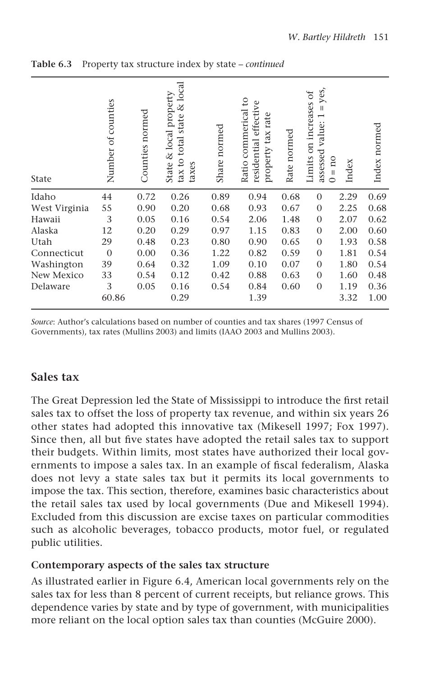| State                                                                                                                                                                       | Number of counties | Counties normed | tax to total state & local<br>State & local property<br>taxes | Share normed | Ratio commerical to<br>residential effective<br>property tax rate | Rate normed | yes,<br>Limits on increases of<br>value:<br>assessed | $= no$<br>Index | Index normed |
|-----------------------------------------------------------------------------------------------------------------------------------------------------------------------------|--------------------|-----------------|---------------------------------------------------------------|--------------|-------------------------------------------------------------------|-------------|------------------------------------------------------|-----------------|--------------|
| Idaho                                                                                                                                                                       | 44                 | 0.72            | 0.26                                                          | 0.89         | 0.94                                                              | 0.68        | $\overline{0}$                                       | 2.29            | 0.69         |
| West Virginia                                                                                                                                                               | 55                 | 0.90            | 0.20                                                          | 0.68         | 0.93                                                              | 0.67        | $\mathbf{0}$                                         | 2.25            | 0.68         |
| Hawaii                                                                                                                                                                      | 3                  | 0.05            | 0.16                                                          | 0.54         | 2.06                                                              | 1.48        | $\mathbf{0}$                                         | 2.07            | 0.62         |
| Alaska                                                                                                                                                                      | 12                 | 0.20            | 0.29                                                          | 0.97         | 1.15                                                              | 0.83        | $\overline{0}$                                       | 2.00            | 0.60         |
| Utah                                                                                                                                                                        | 29                 | 0.48            | 0.23                                                          | 0.80         | 0.90                                                              | 0.65        | $\mathbf{0}$                                         | 1.93            | 0.58         |
| Connecticut                                                                                                                                                                 | $\overline{0}$     | 0.00            | 0.36                                                          | 1.22         | 0.82                                                              | 0.59        | $\overline{0}$                                       | 1.81            | 0.54         |
| Washington                                                                                                                                                                  | 39                 | 0.64            | 0.32                                                          | 1.09         | 0.10                                                              | 0.07        | $\overline{0}$                                       | 1.80            | 0.54         |
| New Mexico                                                                                                                                                                  | 33                 | 0.54            | 0.12                                                          | 0.42         | 0.88                                                              | 0.63        | $\mathbf{0}$                                         | 1.60            | 0.48         |
| Delaware                                                                                                                                                                    | 3                  | 0.05            | 0.16                                                          | 0.54         | 0.84                                                              | 0.60        | $\overline{0}$                                       | 1.19            | 0.36         |
|                                                                                                                                                                             | 60.86              |                 | 0.29                                                          |              | 1.39                                                              |             |                                                      | 3.32            | 1.00         |
| Source: Author's calculations based on number of counties and tax shares (1997 Census of<br>Governments), tax rates (Mullins 2003) and limits (IAAO 2003 and Mullins 2003). |                    |                 |                                                               |              |                                                                   |             |                                                      |                 |              |

**Table 6.3** Property tax structure index by state – *continued*

#### **Sales tax**

The Great Depression led the State of Mississippi to introduce the first retail sales tax to offset the loss of property tax revenue, and within six years 26 other states had adopted this innovative tax (Mikesell 1997; Fox 1997). Since then, all but five states have adopted the retail sales tax to support their budgets. Within limits, most states have authorized their local governments to impose a sales tax. In an example of fiscal federalism, Alaska does not levy a state sales tax but it permits its local governments to impose the tax. This section, therefore, examines basic characteristics about the retail sales tax used by local governments (Due and Mikesell 1994). Excluded from this discussion are excise taxes on particular commodities such as alcoholic beverages, tobacco products, motor fuel, or regulated public utilities.

#### **Contemporary aspects of the sales tax structure**

As illustrated earlier in Figure 6.4, American local governments rely on the sales tax for less than 8 percent of current receipts, but reliance grows. This dependence varies by state and by type of government, with municipalities more reliant on the local option sales tax than counties (McGuire 2000).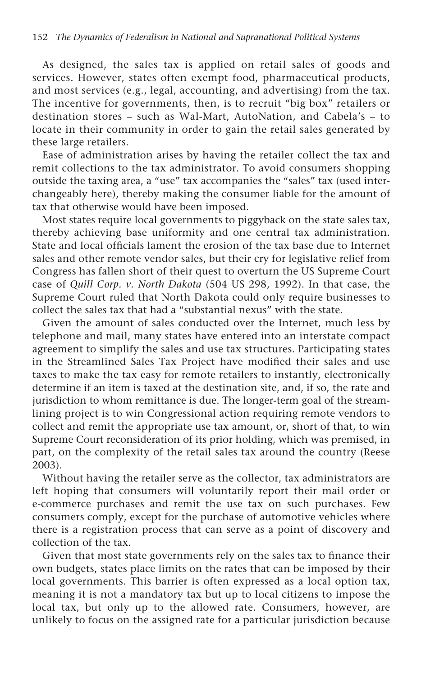As designed, the sales tax is applied on retail sales of goods and services. However, states often exempt food, pharmaceutical products, and most services (e.g., legal, accounting, and advertising) from the tax. The incentive for governments, then, is to recruit "big box" retailers or destination stores – such as Wal-Mart, AutoNation, and Cabela's – to locate in their community in order to gain the retail sales generated by these large retailers.

Ease of administration arises by having the retailer collect the tax and remit collections to the tax administrator. To avoid consumers shopping outside the taxing area, a "use" tax accompanies the "sales" tax (used interchangeably here), thereby making the consumer liable for the amount of tax that otherwise would have been imposed.

Most states require local governments to piggyback on the state sales tax, thereby achieving base uniformity and one central tax administration. State and local officials lament the erosion of the tax base due to Internet sales and other remote vendor sales, but their cry for legislative relief from Congress has fallen short of their quest to overturn the US Supreme Court case of *Quill Corp. v. North Dakota* (504 US 298, 1992). In that case, the Supreme Court ruled that North Dakota could only require businesses to collect the sales tax that had a "substantial nexus" with the state.

Given the amount of sales conducted over the Internet, much less by telephone and mail, many states have entered into an interstate compact agreement to simplify the sales and use tax structures. Participating states in the Streamlined Sales Tax Project have modified their sales and use taxes to make the tax easy for remote retailers to instantly, electronically determine if an item is taxed at the destination site, and, if so, the rate and jurisdiction to whom remittance is due. The longer-term goal of the streamlining project is to win Congressional action requiring remote vendors to collect and remit the appropriate use tax amount, or, short of that, to win Supreme Court reconsideration of its prior holding, which was premised, in part, on the complexity of the retail sales tax around the country (Reese 2003).

Without having the retailer serve as the collector, tax administrators are left hoping that consumers will voluntarily report their mail order or e-commerce purchases and remit the use tax on such purchases. Few consumers comply, except for the purchase of automotive vehicles where there is a registration process that can serve as a point of discovery and collection of the tax.

Given that most state governments rely on the sales tax to finance their own budgets, states place limits on the rates that can be imposed by their local governments. This barrier is often expressed as a local option tax, meaning it is not a mandatory tax but up to local citizens to impose the local tax, but only up to the allowed rate. Consumers, however, are unlikely to focus on the assigned rate for a particular jurisdiction because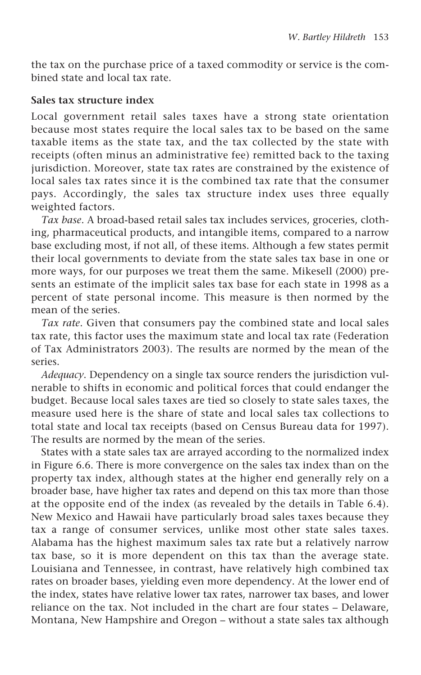the tax on the purchase price of a taxed commodity or service is the combined state and local tax rate.

#### **Sales tax structure index**

Local government retail sales taxes have a strong state orientation because most states require the local sales tax to be based on the same taxable items as the state tax, and the tax collected by the state with receipts (often minus an administrative fee) remitted back to the taxing jurisdiction. Moreover, state tax rates are constrained by the existence of local sales tax rates since it is the combined tax rate that the consumer pays. Accordingly, the sales tax structure index uses three equally weighted factors.

*Tax base*. A broad-based retail sales tax includes services, groceries, clothing, pharmaceutical products, and intangible items, compared to a narrow base excluding most, if not all, of these items. Although a few states permit their local governments to deviate from the state sales tax base in one or more ways, for our purposes we treat them the same. Mikesell (2000) presents an estimate of the implicit sales tax base for each state in 1998 as a percent of state personal income. This measure is then normed by the mean of the series.

*Tax rate*. Given that consumers pay the combined state and local sales tax rate, this factor uses the maximum state and local tax rate (Federation of Tax Administrators 2003). The results are normed by the mean of the series.

*Adequacy*. Dependency on a single tax source renders the jurisdiction vulnerable to shifts in economic and political forces that could endanger the budget. Because local sales taxes are tied so closely to state sales taxes, the measure used here is the share of state and local sales tax collections to total state and local tax receipts (based on Census Bureau data for 1997). The results are normed by the mean of the series.

States with a state sales tax are arrayed according to the normalized index in Figure 6.6. There is more convergence on the sales tax index than on the property tax index, although states at the higher end generally rely on a broader base, have higher tax rates and depend on this tax more than those at the opposite end of the index (as revealed by the details in Table 6.4). New Mexico and Hawaii have particularly broad sales taxes because they tax a range of consumer services, unlike most other state sales taxes. Alabama has the highest maximum sales tax rate but a relatively narrow tax base, so it is more dependent on this tax than the average state. Louisiana and Tennessee, in contrast, have relatively high combined tax rates on broader bases, yielding even more dependency. At the lower end of the index, states have relative lower tax rates, narrower tax bases, and lower reliance on the tax. Not included in the chart are four states – Delaware, Montana, New Hampshire and Oregon – without a state sales tax although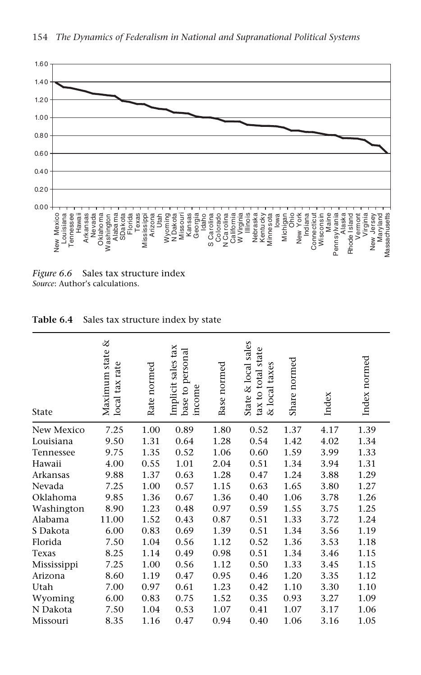

154 *The Dynamics of Federalism in National and Supranational Political Systems*

*Figure 6.6* Sales tax structure index *Source*: Author's calculations.

| State       | Maximum state &<br>local tax rate | Rate normed | Implicit sales tax<br>personal<br>base to<br>income | Base normed | State & local sales<br>tax to total state<br>& local taxes | Share normed | Index | Index normed |
|-------------|-----------------------------------|-------------|-----------------------------------------------------|-------------|------------------------------------------------------------|--------------|-------|--------------|
| New Mexico  | 7.25                              | 1.00        | 0.89                                                | 1.80        | 0.52                                                       | 1.37         | 4.17  | 1.39         |
| Louisiana   | 9.50                              | 1.31        | 0.64                                                | 1.28        | 0.54                                                       | 1.42         | 4.02  | 1.34         |
| Tennessee   | 9.75                              | 1.35        | 0.52                                                | 1.06        | 0.60                                                       | 1.59         | 3.99  | 1.33         |
| Hawaii      | 4.00                              | 0.55        | 1.01                                                | 2.04        | 0.51                                                       | 1.34         | 3.94  | 1.31         |
| Arkansas    | 9.88                              | 1.37        | 0.63                                                | 1.28        | 0.47                                                       | 1.24         | 3.88  | 1.29         |
| Nevada      | 7.25                              | 1.00        | 0.57                                                | 1.15        | 0.63                                                       | 1.65         | 3.80  | 1.27         |
| Oklahoma    | 9.85                              | 1.36        | 0.67                                                | 1.36        | 0.40                                                       | 1.06         | 3.78  | 1.26         |
| Washington  | 8.90                              | 1.23        | 0.48                                                | 0.97        | 0.59                                                       | 1.55         | 3.75  | 1.25         |
| Alabama     | 11.00                             | 1.52        | 0.43                                                | 0.87        | 0.51                                                       | 1.33         | 3.72  | 1.24         |
| S Dakota    | 6.00                              | 0.83        | 0.69                                                | 1.39        | 0.51                                                       | 1.34         | 3.56  | 1.19         |
| Florida     | 7.50                              | 1.04        | 0.56                                                | 1.12        | 0.52                                                       | 1.36         | 3.53  | 1.18         |
| Texas       | 8.25                              | 1.14        | 0.49                                                | 0.98        | 0.51                                                       | 1.34         | 3.46  | 1.15         |
| Mississippi | 7.25                              | 1.00        | 0.56                                                | 1.12        | 0.50                                                       | 1.33         | 3.45  | 1.15         |
| Arizona     | 8.60                              | 1.19        | 0.47                                                | 0.95        | 0.46                                                       | 1.20         | 3.35  | 1.12         |
| Utah        | 7.00                              | 0.97        | 0.61                                                | 1.23        | 0.42                                                       | 1.10         | 3.30  | 1.10         |
| Wyoming     | 6.00                              | 0.83        | 0.75                                                | 1.52        | 0.35                                                       | 0.93         | 3.27  | 1.09         |
| N Dakota    | 7.50                              | 1.04        | 0.53                                                | 1.07        | 0.41                                                       | 1.07         | 3.17  | 1.06         |
| Missouri    | 8.35                              | 1.16        | 0.47                                                | 0.94        | 0.40                                                       | 1.06         | 3.16  | 1.05         |

**Table 6.4** Sales tax structure index by state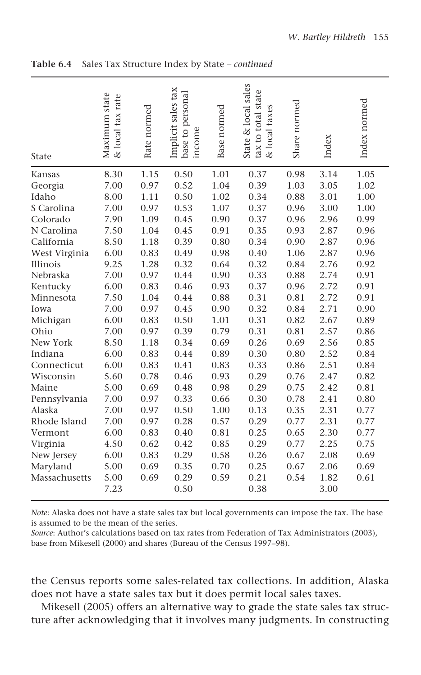| State                                                                                                                                                                                                                                                                                                                 | Maximum state<br>& local tax rate | Rate normed | Implicit sales tax<br>base to personal<br>income | Base normed | State & local sales<br>tax to total state<br>& local taxes | Share normed | Index | Index normed |
|-----------------------------------------------------------------------------------------------------------------------------------------------------------------------------------------------------------------------------------------------------------------------------------------------------------------------|-----------------------------------|-------------|--------------------------------------------------|-------------|------------------------------------------------------------|--------------|-------|--------------|
| Kansas                                                                                                                                                                                                                                                                                                                | 8.30                              | 1.15        | 0.50                                             | 1.01        | 0.37                                                       | 0.98         | 3.14  | 1.05         |
| Georgia                                                                                                                                                                                                                                                                                                               | 7.00                              | 0.97        | 0.52                                             | 1.04        | 0.39                                                       | 1.03         | 3.05  | 1.02         |
| Idaho                                                                                                                                                                                                                                                                                                                 | 8.00                              | 1.11        | 0.50                                             | 1.02        | 0.34                                                       | 0.88         | 3.01  | 1.00         |
| S Carolina                                                                                                                                                                                                                                                                                                            | 7.00                              | 0.97        | 0.53                                             | 1.07        | 0.37                                                       | 0.96         | 3.00  | 1.00         |
| Colorado                                                                                                                                                                                                                                                                                                              | 7.90                              | 1.09        | 0.45                                             | 0.90        | 0.37                                                       | 0.96         | 2.96  | 0.99         |
| N Carolina                                                                                                                                                                                                                                                                                                            | 7.50                              | 1.04        | 0.45                                             | 0.91        | 0.35                                                       | 0.93         | 2.87  | 0.96         |
| California                                                                                                                                                                                                                                                                                                            | 8.50                              | 1.18        | 0.39                                             | 0.80        | 0.34                                                       | 0.90         | 2.87  | 0.96         |
| West Virginia                                                                                                                                                                                                                                                                                                         | 6.00                              | 0.83        | 0.49                                             | 0.98        | 0.40                                                       | 1.06         | 2.87  | 0.96         |
| Illinois                                                                                                                                                                                                                                                                                                              | 9.25                              | 1.28        | 0.32                                             | 0.64        | 0.32                                                       | 0.84         | 2.76  | 0.92         |
| Nebraska                                                                                                                                                                                                                                                                                                              | 7.00                              | 0.97        | 0.44                                             | 0.90        | 0.33                                                       | 0.88         | 2.74  | 0.91         |
| Kentucky                                                                                                                                                                                                                                                                                                              | 6.00                              | 0.83        | 0.46                                             | 0.93        | 0.37                                                       | 0.96         | 2.72  | 0.91         |
| Minnesota                                                                                                                                                                                                                                                                                                             | 7.50                              | 1.04        | 0.44                                             | 0.88        | 0.31                                                       | 0.81         | 2.72  | 0.91         |
| Iowa                                                                                                                                                                                                                                                                                                                  | 7.00                              | 0.97        | 0.45                                             | 0.90        | 0.32                                                       | 0.84         | 2.71  | 0.90         |
| Michigan                                                                                                                                                                                                                                                                                                              | 6.00                              | 0.83        | 0.50                                             | 1.01        | 0.31                                                       | 0.82         | 2.67  | 0.89         |
| Ohio                                                                                                                                                                                                                                                                                                                  | 7.00                              | 0.97        | 0.39                                             | 0.79        | 0.31                                                       | 0.81         | 2.57  | 0.86         |
| New York                                                                                                                                                                                                                                                                                                              | 8.50                              | 1.18        | 0.34                                             | 0.69        | 0.26                                                       | 0.69         | 2.56  | 0.85         |
| Indiana                                                                                                                                                                                                                                                                                                               | 6.00                              | 0.83        | 0.44                                             | 0.89        | 0.30                                                       | 0.80         | 2.52  | 0.84         |
| Connecticut                                                                                                                                                                                                                                                                                                           | 6.00                              | 0.83        | 0.41                                             | 0.83        | 0.33                                                       | 0.86         | 2.51  | 0.84         |
| Wisconsin                                                                                                                                                                                                                                                                                                             | 5.60                              | 0.78        | 0.46                                             | 0.93        | 0.29                                                       | 0.76         | 2.47  | 0.82         |
| Maine                                                                                                                                                                                                                                                                                                                 | 5.00                              | 0.69        | 0.48                                             | 0.98        | 0.29                                                       | 0.75         | 2.42  | 0.81         |
| Pennsylvania                                                                                                                                                                                                                                                                                                          | 7.00                              | 0.97        | 0.33                                             | 0.66        | 0.30                                                       | 0.78         | 2.41  | 0.80         |
| Alaska                                                                                                                                                                                                                                                                                                                | 7.00                              | 0.97        | 0.50                                             | 1.00        | 0.13                                                       | 0.35         | 2.31  | 0.77         |
| Rhode Island                                                                                                                                                                                                                                                                                                          | 7.00                              | 0.97        | 0.28                                             | 0.57        | 0.29                                                       | 0.77         | 2.31  | 0.77         |
| Vermont                                                                                                                                                                                                                                                                                                               | 6.00                              | 0.83        | 0.40                                             | 0.81        | 0.25                                                       | 0.65         | 2.30  | 0.77         |
| Virginia                                                                                                                                                                                                                                                                                                              | 4.50                              | 0.62        | 0.42                                             | 0.85        | 0.29                                                       | 0.77         | 2.25  | 0.75         |
| New Jersey                                                                                                                                                                                                                                                                                                            | 6.00                              | 0.83        | 0.29                                             | 0.58        | 0.26                                                       | 0.67         | 2.08  | 0.69         |
| Maryland                                                                                                                                                                                                                                                                                                              | 5.00                              | 0.69        | 0.35                                             | 0.70        | 0.25                                                       | 0.67         | 2.06  | 0.69         |
| Massachusetts                                                                                                                                                                                                                                                                                                         | 5.00                              | 0.69        | 0.29                                             | 0.59        | 0.21                                                       | 0.54         | 1.82  | 0.61         |
|                                                                                                                                                                                                                                                                                                                       | 7.23                              |             | 0.50                                             |             | 0.38                                                       |              | 3.00  |              |
| Note: Alaska does not have a state sales tax but local governments can impose the tax. The base<br>is assumed to be the mean of the series.<br>Source: Author's calculations based on tax rates from Federation of Tax Administrators (2003),<br>base from Mikesell (2000) and shares (Bureau of the Census 1997-98). |                                   |             |                                                  |             |                                                            |              |       |              |

**Table 6.4** Sales Tax Structure Index by State – *continued*

the Census reports some sales-related tax collections. In addition, Alaska does not have a state sales tax but it does permit local sales taxes.

Mikesell (2005) offers an alternative way to grade the state sales tax structure after acknowledging that it involves many judgments. In constructing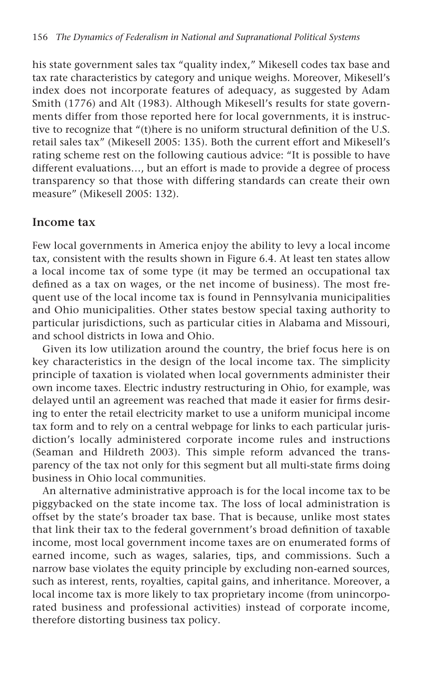his state government sales tax "quality index," Mikesell codes tax base and tax rate characteristics by category and unique weighs. Moreover, Mikesell's index does not incorporate features of adequacy, as suggested by Adam Smith (1776) and Alt (1983). Although Mikesell's results for state governments differ from those reported here for local governments, it is instructive to recognize that "(t)here is no uniform structural definition of the U.S. retail sales tax" (Mikesell 2005: 135). Both the current effort and Mikesell's rating scheme rest on the following cautious advice: "It is possible to have different evaluations…, but an effort is made to provide a degree of process transparency so that those with differing standards can create their own measure" (Mikesell 2005: 132).

## **Income tax**

Few local governments in America enjoy the ability to levy a local income tax, consistent with the results shown in Figure 6.4. At least ten states allow a local income tax of some type (it may be termed an occupational tax defined as a tax on wages, or the net income of business). The most frequent use of the local income tax is found in Pennsylvania municipalities and Ohio municipalities. Other states bestow special taxing authority to particular jurisdictions, such as particular cities in Alabama and Missouri, and school districts in Iowa and Ohio.

Given its low utilization around the country, the brief focus here is on key characteristics in the design of the local income tax. The simplicity principle of taxation is violated when local governments administer their own income taxes. Electric industry restructuring in Ohio, for example, was delayed until an agreement was reached that made it easier for firms desiring to enter the retail electricity market to use a uniform municipal income tax form and to rely on a central webpage for links to each particular jurisdiction's locally administered corporate income rules and instructions (Seaman and Hildreth 2003). This simple reform advanced the transparency of the tax not only for this segment but all multi-state firms doing business in Ohio local communities.

An alternative administrative approach is for the local income tax to be piggybacked on the state income tax. The loss of local administration is offset by the state's broader tax base. That is because, unlike most states that link their tax to the federal government's broad definition of taxable income, most local government income taxes are on enumerated forms of earned income, such as wages, salaries, tips, and commissions. Such a narrow base violates the equity principle by excluding non-earned sources, such as interest, rents, royalties, capital gains, and inheritance. Moreover, a local income tax is more likely to tax proprietary income (from unincorporated business and professional activities) instead of corporate income, therefore distorting business tax policy.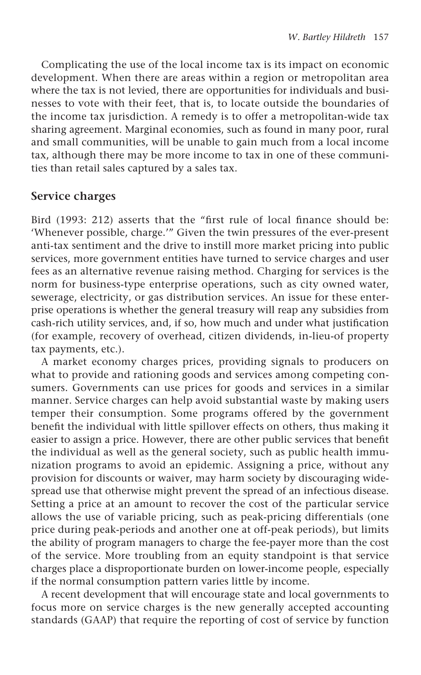Complicating the use of the local income tax is its impact on economic development. When there are areas within a region or metropolitan area where the tax is not levied, there are opportunities for individuals and businesses to vote with their feet, that is, to locate outside the boundaries of the income tax jurisdiction. A remedy is to offer a metropolitan-wide tax sharing agreement. Marginal economies, such as found in many poor, rural and small communities, will be unable to gain much from a local income tax, although there may be more income to tax in one of these communities than retail sales captured by a sales tax.

## **Service charges**

Bird (1993: 212) asserts that the "first rule of local finance should be: 'Whenever possible, charge.'" Given the twin pressures of the ever-present anti-tax sentiment and the drive to instill more market pricing into public services, more government entities have turned to service charges and user fees as an alternative revenue raising method. Charging for services is the norm for business-type enterprise operations, such as city owned water, sewerage, electricity, or gas distribution services. An issue for these enterprise operations is whether the general treasury will reap any subsidies from cash-rich utility services, and, if so, how much and under what justification (for example, recovery of overhead, citizen dividends, in-lieu-of property tax payments, etc.).

A market economy charges prices, providing signals to producers on what to provide and rationing goods and services among competing consumers. Governments can use prices for goods and services in a similar manner. Service charges can help avoid substantial waste by making users temper their consumption. Some programs offered by the government benefit the individual with little spillover effects on others, thus making it easier to assign a price. However, there are other public services that benefit the individual as well as the general society, such as public health immunization programs to avoid an epidemic. Assigning a price, without any provision for discounts or waiver, may harm society by discouraging widespread use that otherwise might prevent the spread of an infectious disease. Setting a price at an amount to recover the cost of the particular service allows the use of variable pricing, such as peak-pricing differentials (one price during peak-periods and another one at off-peak periods), but limits the ability of program managers to charge the fee-payer more than the cost of the service. More troubling from an equity standpoint is that service charges place a disproportionate burden on lower-income people, especially if the normal consumption pattern varies little by income.

A recent development that will encourage state and local governments to focus more on service charges is the new generally accepted accounting standards (GAAP) that require the reporting of cost of service by function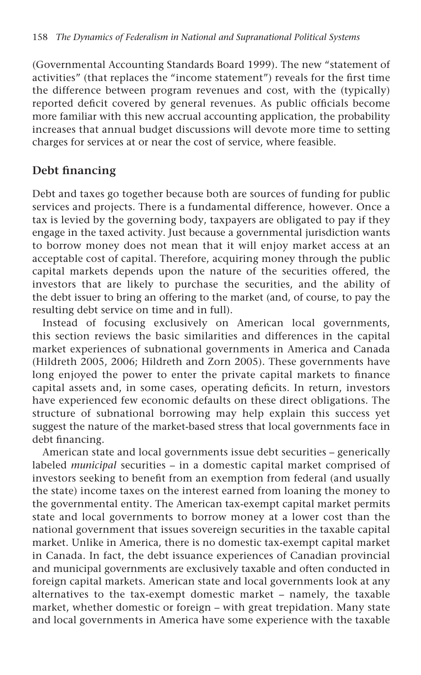(Governmental Accounting Standards Board 1999). The new "statement of activities" (that replaces the "income statement") reveals for the first time the difference between program revenues and cost, with the (typically) reported deficit covered by general revenues. As public officials become more familiar with this new accrual accounting application, the probability increases that annual budget discussions will devote more time to setting charges for services at or near the cost of service, where feasible.

## **Debt financing**

Debt and taxes go together because both are sources of funding for public services and projects. There is a fundamental difference, however. Once a tax is levied by the governing body, taxpayers are obligated to pay if they engage in the taxed activity. Just because a governmental jurisdiction wants to borrow money does not mean that it will enjoy market access at an acceptable cost of capital. Therefore, acquiring money through the public capital markets depends upon the nature of the securities offered, the investors that are likely to purchase the securities, and the ability of the debt issuer to bring an offering to the market (and, of course, to pay the resulting debt service on time and in full).

Instead of focusing exclusively on American local governments, this section reviews the basic similarities and differences in the capital market experiences of subnational governments in America and Canada (Hildreth 2005, 2006; Hildreth and Zorn 2005). These governments have long enjoyed the power to enter the private capital markets to finance capital assets and, in some cases, operating deficits. In return, investors have experienced few economic defaults on these direct obligations. The structure of subnational borrowing may help explain this success yet suggest the nature of the market-based stress that local governments face in debt financing.

American state and local governments issue debt securities – generically labeled *municipal* securities – in a domestic capital market comprised of investors seeking to benefit from an exemption from federal (and usually the state) income taxes on the interest earned from loaning the money to the governmental entity. The American tax-exempt capital market permits state and local governments to borrow money at a lower cost than the national government that issues sovereign securities in the taxable capital market. Unlike in America, there is no domestic tax-exempt capital market in Canada. In fact, the debt issuance experiences of Canadian provincial and municipal governments are exclusively taxable and often conducted in foreign capital markets. American state and local governments look at any alternatives to the tax-exempt domestic market – namely, the taxable market, whether domestic or foreign – with great trepidation. Many state and local governments in America have some experience with the taxable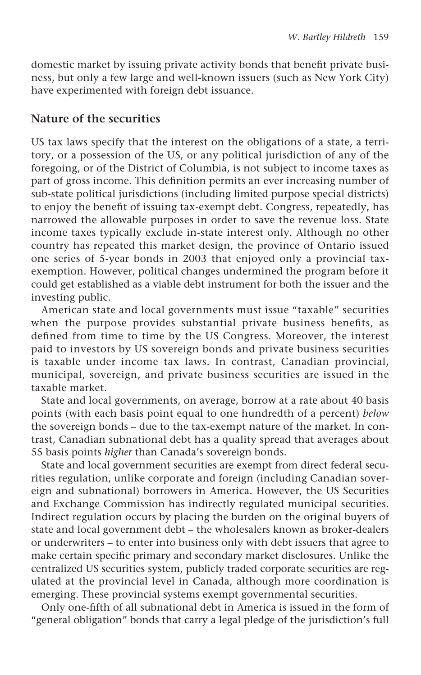domestic market by issuing private activity bonds that benefit private business, but only a few large and well-known issuers (such as New York City) have experimented with foreign debt issuance.

#### **Nature of the securities**

US tax laws specify that the interest on the obligations of a state, a territory, or a possession of the US, or any political jurisdiction of any of the foregoing, or of the District of Columbia, is not subject to income taxes as part of gross income. This definition permits an ever increasing number of sub-state political jurisdictions (including limited purpose special districts) to enjoy the benefit of issuing tax-exempt debt. Congress, repeatedly, has narrowed the allowable purposes in order to save the revenue loss. State income taxes typically exclude in-state interest only. Although no other country has repeated this market design, the province of Ontario issued one series of 5-year bonds in 2003 that enjoyed only a provincial taxexemption. However, political changes undermined the program before it could get established as a viable debt instrument for both the issuer and the investing public.

American state and local governments must issue "taxable" securities when the purpose provides substantial private business benefits, as defined from time to time by the US Congress. Moreover, the interest paid to investors by US sovereign bonds and private business securities is taxable under income tax laws. In contrast, Canadian provincial, municipal, sovereign, and private business securities are issued in the taxable market.

State and local governments, on average, borrow at a rate about 40 basis points (with each basis point equal to one hundredth of a percent) *below* the sovereign bonds – due to the tax-exempt nature of the market. In contrast, Canadian subnational debt has a quality spread that averages about 55 basis points *higher* than Canada's sovereign bonds.

State and local government securities are exempt from direct federal securities regulation, unlike corporate and foreign (including Canadian sovereign and subnational) borrowers in America. However, the US Securities and Exchange Commission has indirectly regulated municipal securities. Indirect regulation occurs by placing the burden on the original buyers of state and local government debt – the wholesalers known as broker-dealers or underwriters – to enter into business only with debt issuers that agree to make certain specific primary and secondary market disclosures. Unlike the centralized US securities system, publicly traded corporate securities are regulated at the provincial level in Canada, although more coordination is emerging. These provincial systems exempt governmental securities.

Only one-fifth of all subnational debt in America is issued in the form of "general obligation" bonds that carry a legal pledge of the jurisdiction's full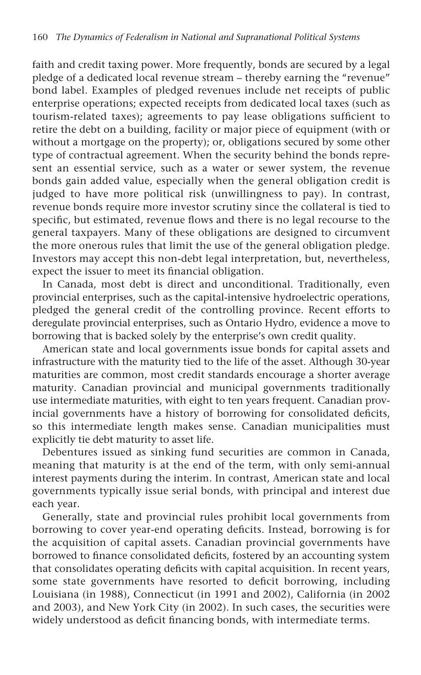faith and credit taxing power. More frequently, bonds are secured by a legal pledge of a dedicated local revenue stream – thereby earning the "revenue" bond label. Examples of pledged revenues include net receipts of public enterprise operations; expected receipts from dedicated local taxes (such as tourism-related taxes); agreements to pay lease obligations sufficient to retire the debt on a building, facility or major piece of equipment (with or without a mortgage on the property); or, obligations secured by some other type of contractual agreement. When the security behind the bonds represent an essential service, such as a water or sewer system, the revenue bonds gain added value, especially when the general obligation credit is judged to have more political risk (unwillingness to pay). In contrast, revenue bonds require more investor scrutiny since the collateral is tied to specific, but estimated, revenue flows and there is no legal recourse to the general taxpayers. Many of these obligations are designed to circumvent the more onerous rules that limit the use of the general obligation pledge. Investors may accept this non-debt legal interpretation, but, nevertheless, expect the issuer to meet its financial obligation.

In Canada, most debt is direct and unconditional. Traditionally, even provincial enterprises, such as the capital-intensive hydroelectric operations, pledged the general credit of the controlling province. Recent efforts to deregulate provincial enterprises, such as Ontario Hydro, evidence a move to borrowing that is backed solely by the enterprise's own credit quality.

American state and local governments issue bonds for capital assets and infrastructure with the maturity tied to the life of the asset. Although 30-year maturities are common, most credit standards encourage a shorter average maturity. Canadian provincial and municipal governments traditionally use intermediate maturities, with eight to ten years frequent. Canadian provincial governments have a history of borrowing for consolidated deficits, so this intermediate length makes sense. Canadian municipalities must explicitly tie debt maturity to asset life.

Debentures issued as sinking fund securities are common in Canada, meaning that maturity is at the end of the term, with only semi-annual interest payments during the interim. In contrast, American state and local governments typically issue serial bonds, with principal and interest due each year.

Generally, state and provincial rules prohibit local governments from borrowing to cover year-end operating deficits. Instead, borrowing is for the acquisition of capital assets. Canadian provincial governments have borrowed to finance consolidated deficits, fostered by an accounting system that consolidates operating deficits with capital acquisition. In recent years, some state governments have resorted to deficit borrowing, including Louisiana (in 1988), Connecticut (in 1991 and 2002), California (in 2002 and 2003), and New York City (in 2002). In such cases, the securities were widely understood as deficit financing bonds, with intermediate terms.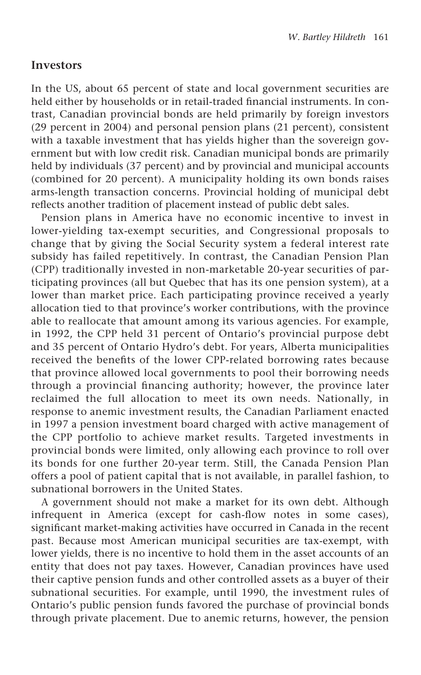#### **Investors**

In the US, about 65 percent of state and local government securities are held either by households or in retail-traded financial instruments. In contrast, Canadian provincial bonds are held primarily by foreign investors (29 percent in 2004) and personal pension plans (21 percent), consistent with a taxable investment that has yields higher than the sovereign government but with low credit risk. Canadian municipal bonds are primarily held by individuals (37 percent) and by provincial and municipal accounts (combined for 20 percent). A municipality holding its own bonds raises arms-length transaction concerns. Provincial holding of municipal debt reflects another tradition of placement instead of public debt sales.

Pension plans in America have no economic incentive to invest in lower-yielding tax-exempt securities, and Congressional proposals to change that by giving the Social Security system a federal interest rate subsidy has failed repetitively. In contrast, the Canadian Pension Plan (CPP) traditionally invested in non-marketable 20-year securities of participating provinces (all but Quebec that has its one pension system), at a lower than market price. Each participating province received a yearly allocation tied to that province's worker contributions, with the province able to reallocate that amount among its various agencies. For example, in 1992, the CPP held 31 percent of Ontario's provincial purpose debt and 35 percent of Ontario Hydro's debt. For years, Alberta municipalities received the benefits of the lower CPP-related borrowing rates because that province allowed local governments to pool their borrowing needs through a provincial financing authority; however, the province later reclaimed the full allocation to meet its own needs. Nationally, in response to anemic investment results, the Canadian Parliament enacted in 1997 a pension investment board charged with active management of the CPP portfolio to achieve market results. Targeted investments in provincial bonds were limited, only allowing each province to roll over its bonds for one further 20-year term. Still, the Canada Pension Plan offers a pool of patient capital that is not available, in parallel fashion, to subnational borrowers in the United States.

A government should not make a market for its own debt. Although infrequent in America (except for cash-flow notes in some cases), significant market-making activities have occurred in Canada in the recent past. Because most American municipal securities are tax-exempt, with lower yields, there is no incentive to hold them in the asset accounts of an entity that does not pay taxes. However, Canadian provinces have used their captive pension funds and other controlled assets as a buyer of their subnational securities. For example, until 1990, the investment rules of Ontario's public pension funds favored the purchase of provincial bonds through private placement. Due to anemic returns, however, the pension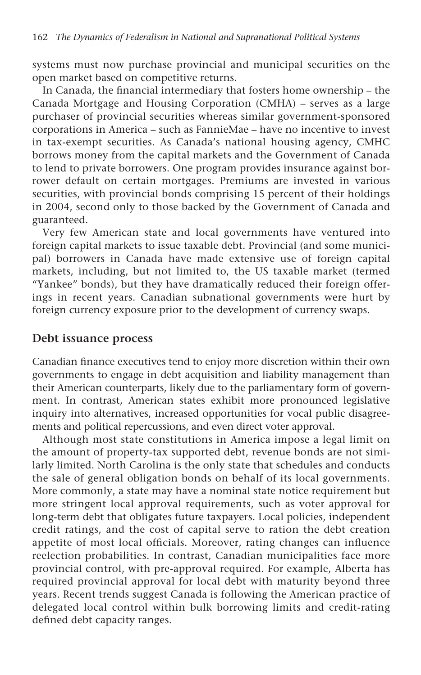systems must now purchase provincial and municipal securities on the open market based on competitive returns.

In Canada, the financial intermediary that fosters home ownership – the Canada Mortgage and Housing Corporation (CMHA) – serves as a large purchaser of provincial securities whereas similar government-sponsored corporations in America – such as FannieMae – have no incentive to invest in tax-exempt securities. As Canada's national housing agency, CMHC borrows money from the capital markets and the Government of Canada to lend to private borrowers. One program provides insurance against borrower default on certain mortgages. Premiums are invested in various securities, with provincial bonds comprising 15 percent of their holdings in 2004, second only to those backed by the Government of Canada and guaranteed.

Very few American state and local governments have ventured into foreign capital markets to issue taxable debt. Provincial (and some municipal) borrowers in Canada have made extensive use of foreign capital markets, including, but not limited to, the US taxable market (termed "Yankee" bonds), but they have dramatically reduced their foreign offerings in recent years. Canadian subnational governments were hurt by foreign currency exposure prior to the development of currency swaps.

## **Debt issuance process**

Canadian finance executives tend to enjoy more discretion within their own governments to engage in debt acquisition and liability management than their American counterparts, likely due to the parliamentary form of government. In contrast, American states exhibit more pronounced legislative inquiry into alternatives, increased opportunities for vocal public disagreements and political repercussions, and even direct voter approval.

Although most state constitutions in America impose a legal limit on the amount of property-tax supported debt, revenue bonds are not similarly limited. North Carolina is the only state that schedules and conducts the sale of general obligation bonds on behalf of its local governments. More commonly, a state may have a nominal state notice requirement but more stringent local approval requirements, such as voter approval for long-term debt that obligates future taxpayers. Local policies, independent credit ratings, and the cost of capital serve to ration the debt creation appetite of most local officials. Moreover, rating changes can influence reelection probabilities. In contrast, Canadian municipalities face more provincial control, with pre-approval required. For example, Alberta has required provincial approval for local debt with maturity beyond three years. Recent trends suggest Canada is following the American practice of delegated local control within bulk borrowing limits and credit-rating defined debt capacity ranges.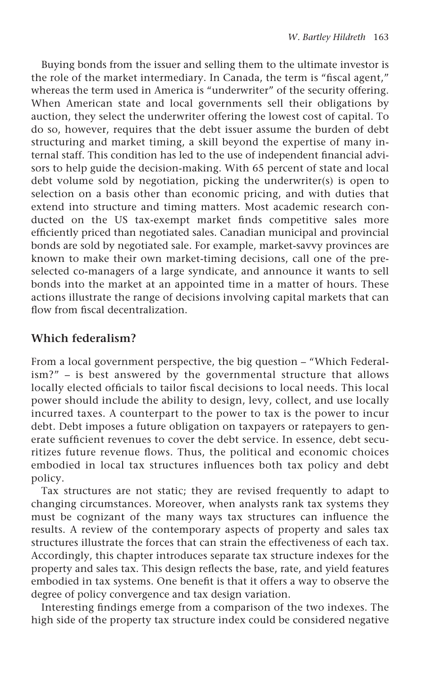Buying bonds from the issuer and selling them to the ultimate investor is the role of the market intermediary. In Canada, the term is "fiscal agent," whereas the term used in America is "underwriter" of the security offering. When American state and local governments sell their obligations by auction, they select the underwriter offering the lowest cost of capital. To do so, however, requires that the debt issuer assume the burden of debt structuring and market timing, a skill beyond the expertise of many internal staff. This condition has led to the use of independent financial advisors to help guide the decision-making. With 65 percent of state and local debt volume sold by negotiation, picking the underwriter(s) is open to selection on a basis other than economic pricing, and with duties that extend into structure and timing matters. Most academic research conducted on the US tax-exempt market finds competitive sales more efficiently priced than negotiated sales. Canadian municipal and provincial bonds are sold by negotiated sale. For example, market-savvy provinces are known to make their own market-timing decisions, call one of the preselected co-managers of a large syndicate, and announce it wants to sell bonds into the market at an appointed time in a matter of hours. These actions illustrate the range of decisions involving capital markets that can flow from fiscal decentralization.

## **Which federalism?**

From a local government perspective, the big question – "Which Federalism?" – is best answered by the governmental structure that allows locally elected officials to tailor fiscal decisions to local needs. This local power should include the ability to design, levy, collect, and use locally incurred taxes. A counterpart to the power to tax is the power to incur debt. Debt imposes a future obligation on taxpayers or ratepayers to generate sufficient revenues to cover the debt service. In essence, debt securitizes future revenue flows. Thus, the political and economic choices embodied in local tax structures influences both tax policy and debt policy.

Tax structures are not static; they are revised frequently to adapt to changing circumstances. Moreover, when analysts rank tax systems they must be cognizant of the many ways tax structures can influence the results. A review of the contemporary aspects of property and sales tax structures illustrate the forces that can strain the effectiveness of each tax. Accordingly, this chapter introduces separate tax structure indexes for the property and sales tax. This design reflects the base, rate, and yield features embodied in tax systems. One benefit is that it offers a way to observe the degree of policy convergence and tax design variation.

Interesting findings emerge from a comparison of the two indexes. The high side of the property tax structure index could be considered negative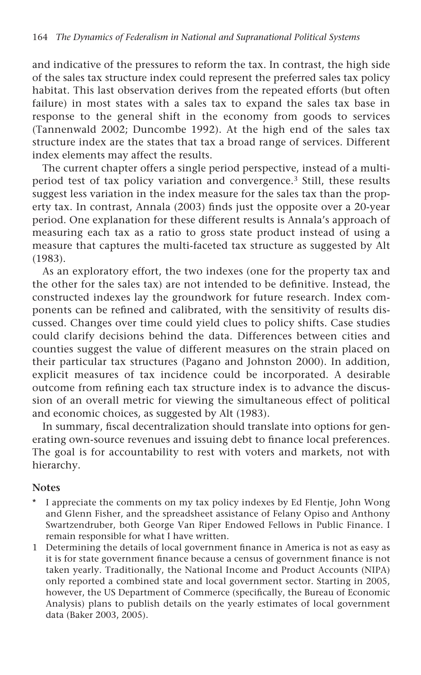and indicative of the pressures to reform the tax. In contrast, the high side of the sales tax structure index could represent the preferred sales tax policy habitat. This last observation derives from the repeated efforts (but often failure) in most states with a sales tax to expand the sales tax base in response to the general shift in the economy from goods to services (Tannenwald 2002; Duncombe 1992). At the high end of the sales tax structure index are the states that tax a broad range of services. Different index elements may affect the results.

The current chapter offers a single period perspective, instead of a multiperiod test of tax policy variation and convergence.3 Still, these results suggest less variation in the index measure for the sales tax than the property tax. In contrast, Annala (2003) finds just the opposite over a 20-year period. One explanation for these different results is Annala's approach of measuring each tax as a ratio to gross state product instead of using a measure that captures the multi-faceted tax structure as suggested by Alt (1983).

As an exploratory effort, the two indexes (one for the property tax and the other for the sales tax) are not intended to be definitive. Instead, the constructed indexes lay the groundwork for future research. Index components can be refined and calibrated, with the sensitivity of results discussed. Changes over time could yield clues to policy shifts. Case studies could clarify decisions behind the data. Differences between cities and counties suggest the value of different measures on the strain placed on their particular tax structures (Pagano and Johnston 2000). In addition, explicit measures of tax incidence could be incorporated. A desirable outcome from refining each tax structure index is to advance the discussion of an overall metric for viewing the simultaneous effect of political and economic choices, as suggested by Alt (1983).

In summary, fiscal decentralization should translate into options for generating own-source revenues and issuing debt to finance local preferences. The goal is for accountability to rest with voters and markets, not with hierarchy.

#### **Notes**

- \* I appreciate the comments on my tax policy indexes by Ed Flentje, John Wong and Glenn Fisher, and the spreadsheet assistance of Felany Opiso and Anthony Swartzendruber, both George Van Riper Endowed Fellows in Public Finance. I remain responsible for what I have written.
- 1 Determining the details of local government finance in America is not as easy as it is for state government finance because a census of government finance is not taken yearly. Traditionally, the National Income and Product Accounts (NIPA) only reported a combined state and local government sector. Starting in 2005, however, the US Department of Commerce (specifically, the Bureau of Economic Analysis) plans to publish details on the yearly estimates of local government data (Baker 2003, 2005).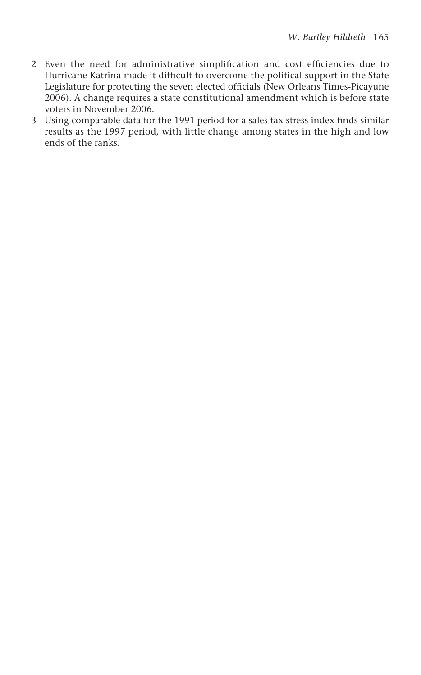- 2 Even the need for administrative simplification and cost efficiencies due to Hurricane Katrina made it difficult to overcome the political support in the State Legislature for protecting the seven elected officials (New Orleans Times-Picayune 2006). A change requires a state constitutional amendment which is before state voters in November 2006.
- 3 Using comparable data for the 1991 period for a sales tax stress index finds similar results as the 1997 period, with little change among states in the high and low ends of the ranks.